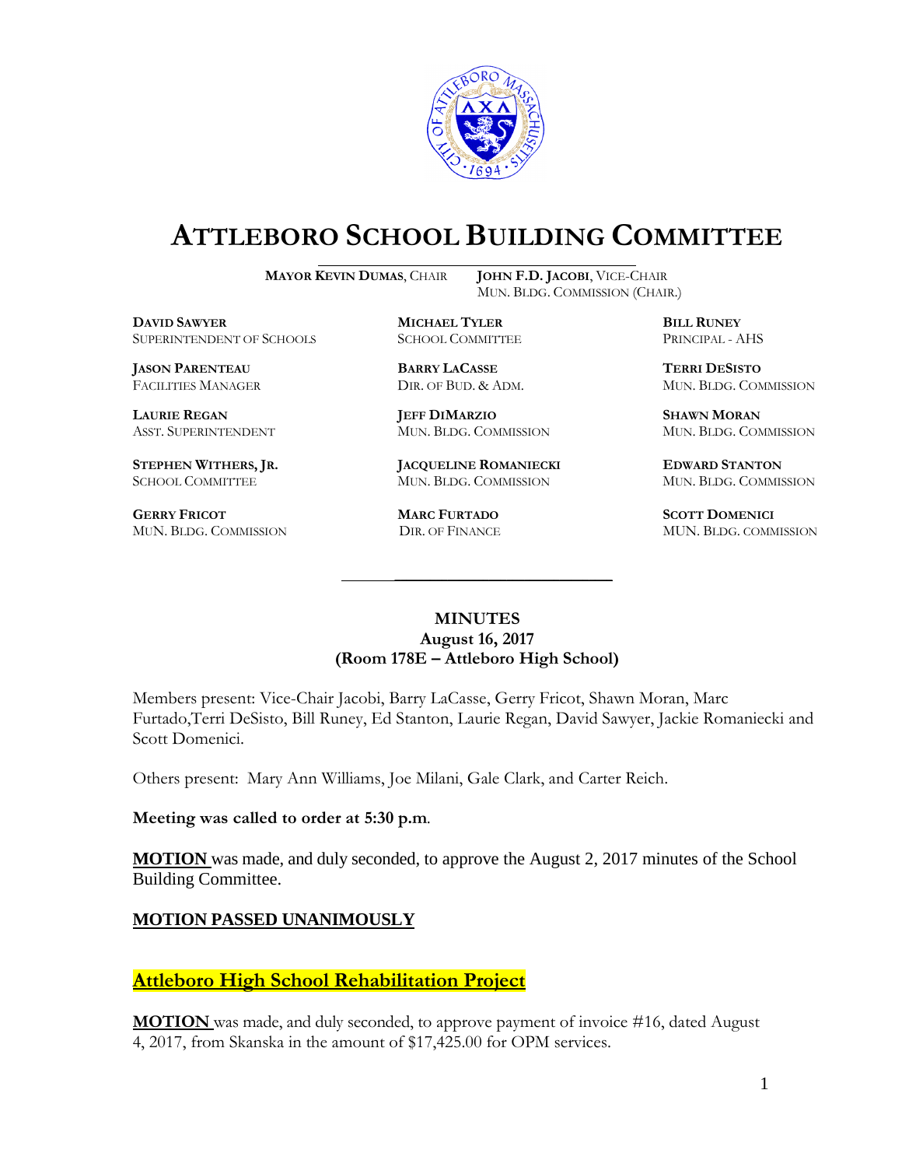

# **ATTLEBORO SCHOOL BUILDING COMMITTEE**

**MAYOR KEVIN DUMAS**, CHAIR **JOHN F.D. JACOBI**, VICE-CHAIR

MUN. BLDG. COMMISSION (CHAIR.)

**DAVID SAWYER MICHAEL TYLER BILL RUNEY** SUPERINTENDENT OF SCHOOLS SCHOOL COMMITTEE PRINCIPAL - AHS

**JASON PARENTEAU BARRY LACASSE TERRI DESISTO**

**GERRY FRICOT MARC FURTADO SCOTT DOMENICI** 

**LAURIE REGAN JEFF DIMARZIO SHAWN MORAN**

**STEPHEN WITHERS, JR. JACQUELINE ROMANIECKI EDWARD STANTON** SCHOOL COMMITTEE MUN. BLDG. COMMISSION MUN. BLDG. COMMISSION

FACILITIES MANAGER DIR. OF BUD. & ADM. MUN. BLDG. COMMISSION

ASST. SUPERINTENDENT MUN. BLDG. COMMISSION MUN. BLDG. COMMISSION

MUN. BLDG. COMMISSION DIR. OF FINANCE MUN. BLDG. COMMISSION

#### **MINUTES August 16, 2017 (Room 178E – Attleboro High School)**

\_\_\_\_\_\_\_\_\_\_\_\_\_\_\_\_\_\_\_\_\_\_\_\_\_\_\_\_\_\_\_\_\_\_\_\_\_

Members present: Vice-Chair Jacobi, Barry LaCasse, Gerry Fricot, Shawn Moran, Marc Furtado,Terri DeSisto, Bill Runey, Ed Stanton, Laurie Regan, David Sawyer, Jackie Romaniecki and Scott Domenici.

Others present: Mary Ann Williams, Joe Milani, Gale Clark, and Carter Reich.

**Meeting was called to order at 5:30 p.m**.

**MOTION** was made, and duly seconded, to approve the August 2, 2017 minutes of the School Building Committee.

### **MOTION PASSED UNANIMOUSLY**

### **Attleboro High School Rehabilitation Project**

**MOTION** was made, and duly seconded, to approve payment of invoice #16, dated August 4, 2017, from Skanska in the amount of \$17,425.00 for OPM services.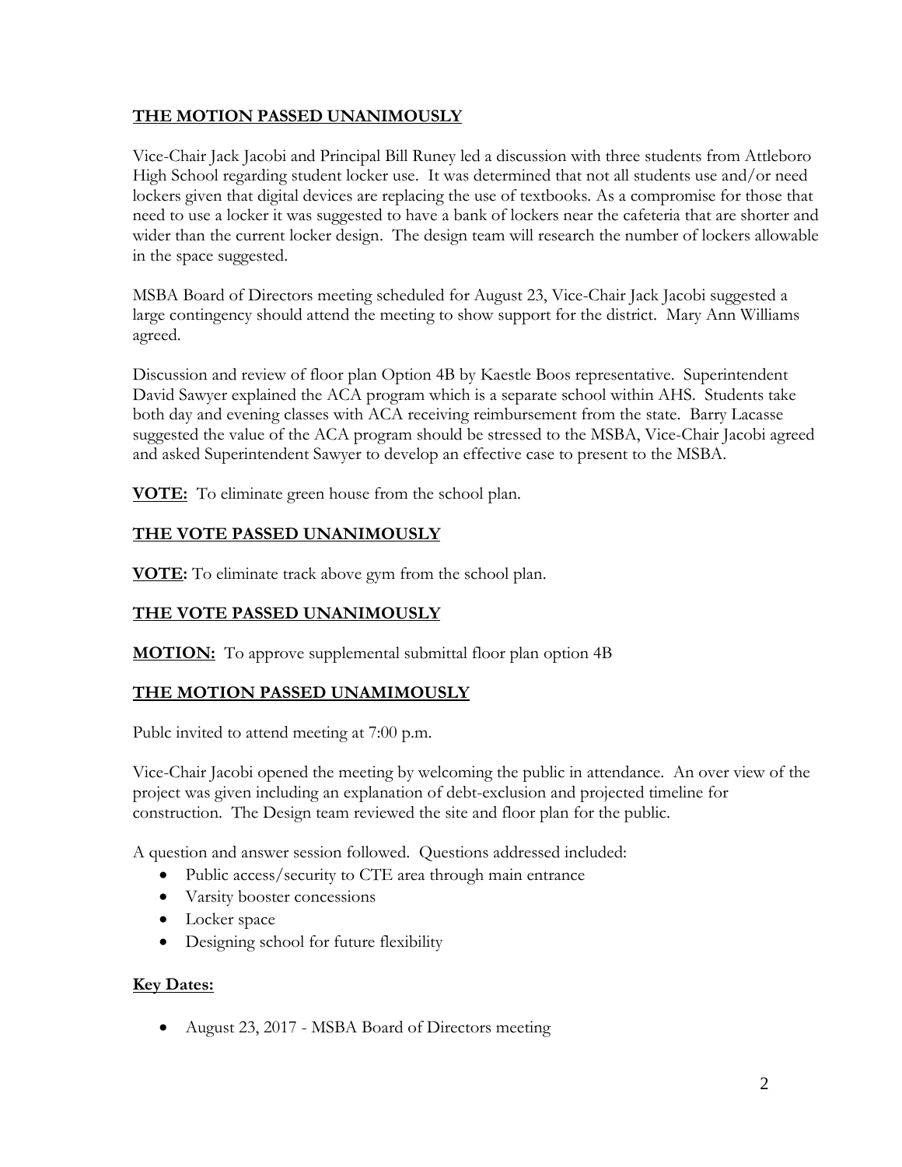### **THE MOTION PASSED UNANIMOUSLY**

Vice-Chair Jack Jacobi and Principal Bill Runey led a discussion with three students from Attleboro High School regarding student locker use. It was determined that not all students use and/or need lockers given that digital devices are replacing the use of textbooks. As a compromise for those that need to use a locker it was suggested to have a bank of lockers near the cafeteria that are shorter and wider than the current locker design. The design team will research the number of lockers allowable in the space suggested.

MSBA Board of Directors meeting scheduled for August 23, Vice-Chair Jack Jacobi suggested a large contingency should attend the meeting to show support for the district. Mary Ann Williams agreed.

Discussion and review of floor plan Option 4B by Kaestle Boos representative. Superintendent David Sawyer explained the ACA program which is a separate school within AHS. Students take both day and evening classes with ACA receiving reimbursement from the state. Barry Lacasse suggested the value of the ACA program should be stressed to the MSBA, Vice-Chair Jacobi agreed and asked Superintendent Sawyer to develop an effective case to present to the MSBA.

**VOTE:** To eliminate green house from the school plan.

## **THE VOTE PASSED UNANIMOUSLY**

**VOTE:** To eliminate track above gym from the school plan.

## **THE VOTE PASSED UNANIMOUSLY**

**MOTION:** To approve supplemental submittal floor plan option 4B

## **THE MOTION PASSED UNAMIMOUSLY**

Publc invited to attend meeting at 7:00 p.m.

Vice-Chair Jacobi opened the meeting by welcoming the public in attendance. An over view of the project was given including an explanation of debt-exclusion and projected timeline for construction. The Design team reviewed the site and floor plan for the public.

A question and answer session followed. Questions addressed included:

- Public access/security to CTE area through main entrance
- Varsity booster concessions
- Locker space
- Designing school for future flexibility

### **Key Dates:**

• August 23, 2017 - MSBA Board of Directors meeting